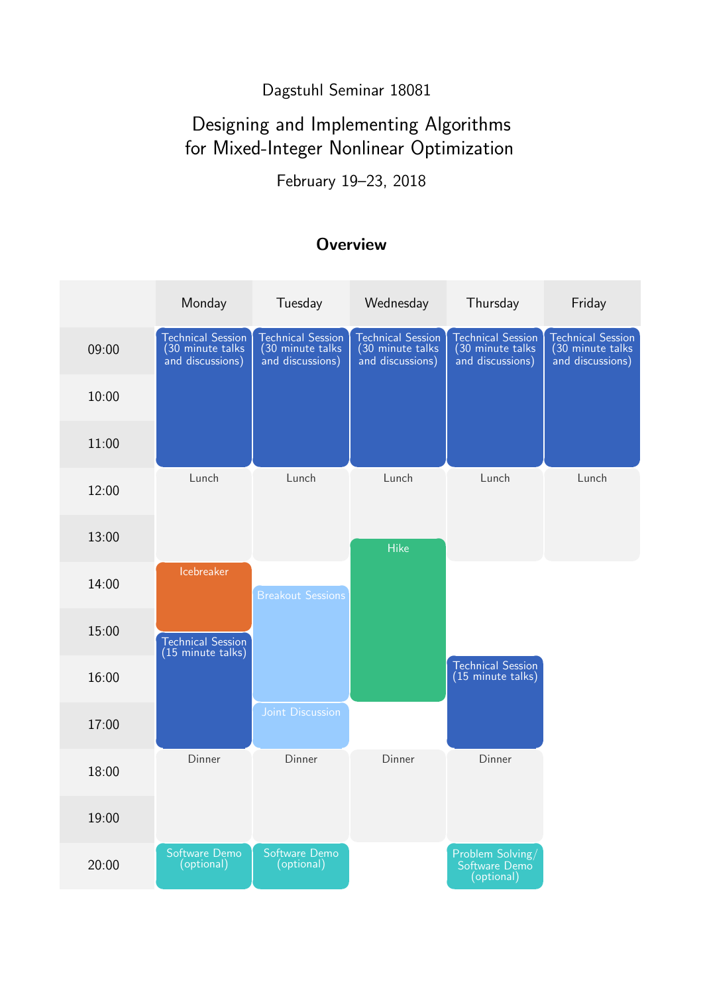### Dagstuhl Seminar 18081

# Designing and Implementing Algorithms for Mixed-Integer Nonlinear Optimization

February 19–23, 2018

### **Overview**

|       | Monday                                                           | Tuesday                                                          | Wednesday                                                         | Thursday                                                         | Friday                                                            |
|-------|------------------------------------------------------------------|------------------------------------------------------------------|-------------------------------------------------------------------|------------------------------------------------------------------|-------------------------------------------------------------------|
| 09:00 | <b>Technical Session</b><br>(30 minute talks<br>and discussions) | <b>Technical Session</b><br>(30 minute talks<br>and discussions) | <b>Technical Session</b><br>(30 minute talks)<br>and discussions) | <b>Technical Session</b><br>(30 minute talks<br>and discussions) | <b>Technical Session</b><br>(30 minute talks)<br>and discussions) |
| 10:00 |                                                                  |                                                                  |                                                                   |                                                                  |                                                                   |
| 11:00 |                                                                  |                                                                  |                                                                   |                                                                  |                                                                   |
| 12:00 | Lunch                                                            | Lunch                                                            | Lunch                                                             | Lunch                                                            | Lunch                                                             |
| 13:00 |                                                                  |                                                                  | <b>Hike</b>                                                       |                                                                  |                                                                   |
| 14:00 | Icebreaker                                                       | <b>Breakout Sessions</b>                                         |                                                                   |                                                                  |                                                                   |
| 15:00 | <b>Technical Session</b><br>(15 minute talks)                    |                                                                  |                                                                   |                                                                  |                                                                   |
| 16:00 |                                                                  |                                                                  |                                                                   | <b>Technical Session</b><br>(15 minute talks)                    |                                                                   |
| 17:00 |                                                                  | Joint Discussion                                                 |                                                                   |                                                                  |                                                                   |
| 18:00 | Dinner                                                           | Dinner                                                           | Dinner                                                            | Dinner                                                           |                                                                   |
| 19:00 |                                                                  |                                                                  |                                                                   |                                                                  |                                                                   |
| 20:00 | Software Demo<br>(optional)                                      | Software Demo<br>(optional)                                      |                                                                   | Problem Solving/<br>Software Demo<br>(optional)                  |                                                                   |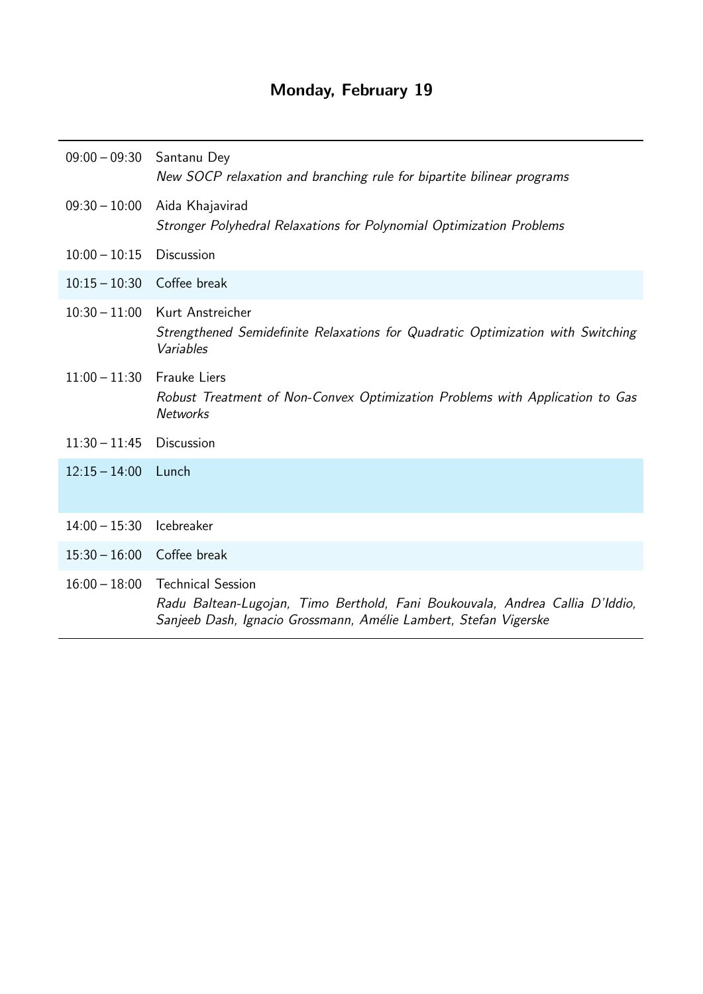# Monday, February 19

| 09:00 - 09:30 Santanu Dey    | New SOCP relaxation and branching rule for bipartite bilinear programs                                                                                                       |
|------------------------------|------------------------------------------------------------------------------------------------------------------------------------------------------------------------------|
| $09:30 - 10:00$              | Aida Khajavirad<br>Stronger Polyhedral Relaxations for Polynomial Optimization Problems                                                                                      |
| $10:00 - 10:15$              | Discussion                                                                                                                                                                   |
| $10:15 - 10:30$ Coffee break |                                                                                                                                                                              |
| $10:30 - 11:00$              | Kurt Anstreicher<br>Strengthened Semidefinite Relaxations for Quadratic Optimization with Switching<br>Variables                                                             |
| $11:00 - 11:30$ Frauke Liers | Robust Treatment of Non-Convex Optimization Problems with Application to Gas<br><b>Networks</b>                                                                              |
| $11:30 - 11:45$ Discussion   |                                                                                                                                                                              |
| $12:15 - 14:00$ Lunch        |                                                                                                                                                                              |
| $14:00 - 15:30$              | Icebreaker                                                                                                                                                                   |
| 15:30 - 16:00 Coffee break   |                                                                                                                                                                              |
| $16:00 - 18:00$              | <b>Technical Session</b><br>Radu Baltean-Lugojan, Timo Berthold, Fani Boukouvala, Andrea Callia D'Iddio,<br>Sanjeeb Dash, Ignacio Grossmann, Amélie Lambert, Stefan Vigerske |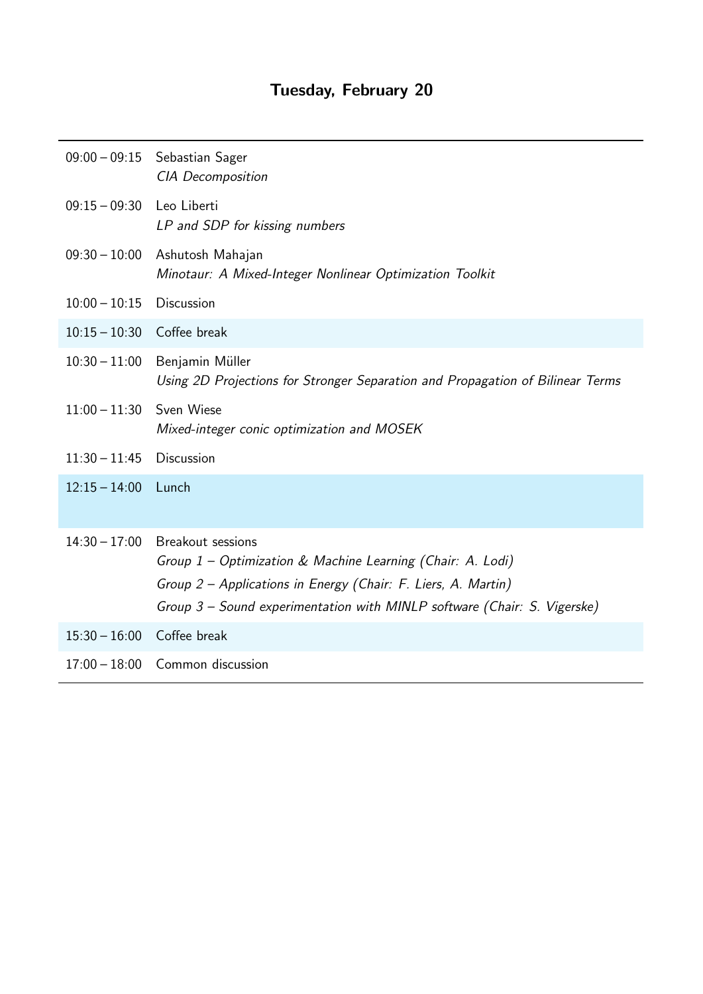|                            | 09:00 - 09:15 Sebastian Sager<br><b>CIA</b> Decomposition                                                                                                                                                                           |
|----------------------------|-------------------------------------------------------------------------------------------------------------------------------------------------------------------------------------------------------------------------------------|
| $09:15 - 09:30$            | Leo Liberti<br>LP and SDP for kissing numbers                                                                                                                                                                                       |
| $09:30 - 10:00$            | Ashutosh Mahajan<br>Minotaur: A Mixed-Integer Nonlinear Optimization Toolkit                                                                                                                                                        |
| $10:00 - 10:15$            | <b>Discussion</b>                                                                                                                                                                                                                   |
| 10:15 - 10:30 Coffee break |                                                                                                                                                                                                                                     |
| $10:30 - 11:00$            | Benjamin Müller<br>Using 2D Projections for Stronger Separation and Propagation of Bilinear Terms                                                                                                                                   |
| $11:00 - 11:30$            | Sven Wiese<br>Mixed-integer conic optimization and MOSEK                                                                                                                                                                            |
| $11:30 - 11:45$            | <b>Discussion</b>                                                                                                                                                                                                                   |
| $12:15 - 14:00$            | Lunch                                                                                                                                                                                                                               |
| $14:30 - 17:00$            | <b>Breakout sessions</b><br>Group 1 – Optimization & Machine Learning (Chair: A. Lodi)<br>Group 2 - Applications in Energy (Chair: F. Liers, A. Martin)<br>Group 3 – Sound experimentation with MINLP software (Chair: S. Vigerske) |
| 15:30 - 16:00 Coffee break |                                                                                                                                                                                                                                     |
| $17:00 - 18:00$            | Common discussion                                                                                                                                                                                                                   |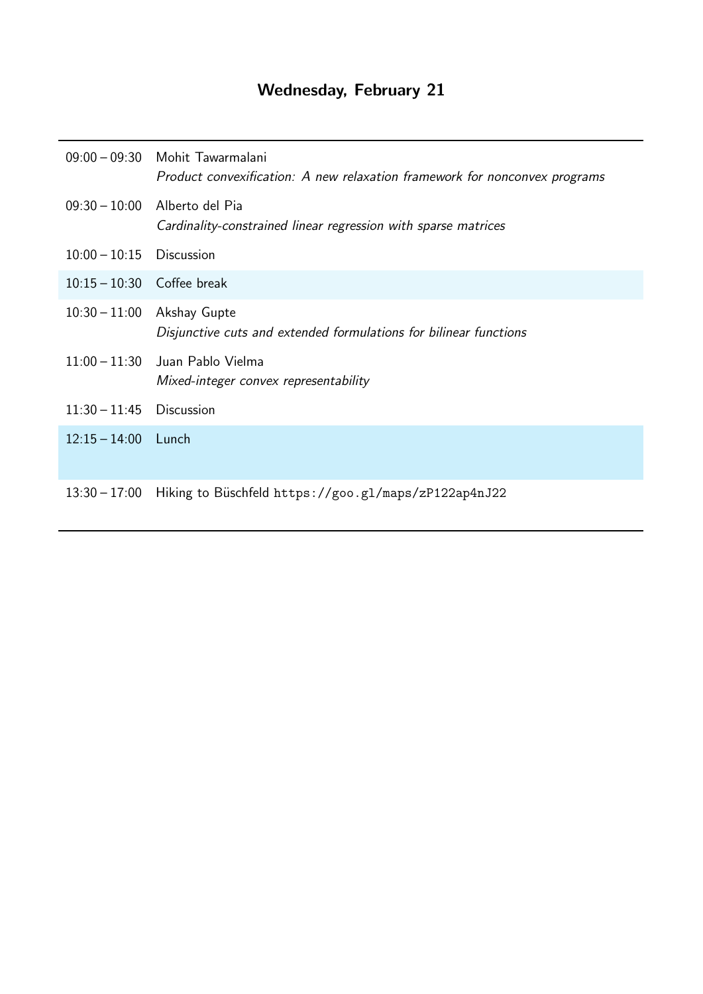# Wednesday, February 21

|                              | 09:00 - 09:30 Mohit Tawarmalani<br>Product convexification: A new relaxation framework for nonconvex programs |
|------------------------------|---------------------------------------------------------------------------------------------------------------|
|                              | 09:30 - 10:00 Alberto del Pia<br>Cardinality-constrained linear regression with sparse matrices               |
| $10:00 - 10:15$ Discussion   |                                                                                                               |
| $10:15 - 10:30$ Coffee break |                                                                                                               |
| $10:30 - 11:00$              | Akshay Gupte<br>Disjunctive cuts and extended formulations for bilinear functions                             |
|                              | 11:00 - 11:30 Juan Pablo Vielma<br>Mixed-integer convex representability                                      |
| $11:30 - 11:45$ Discussion   |                                                                                                               |
| $12:15 - 14:00$ Lunch        |                                                                                                               |
|                              | 13:30 - 17:00 Hiking to Büschfeld https://goo.gl/maps/zP122ap4nJ22                                            |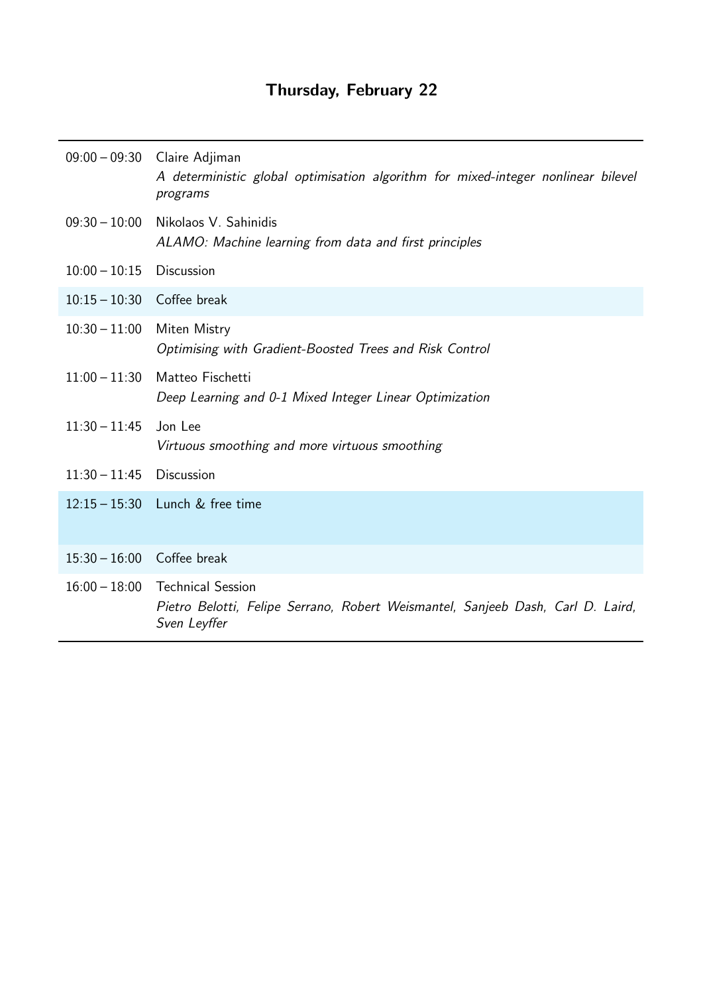# Thursday, February 22

|                              | 09:00 - 09:30 Claire Adjiman<br>A deterministic global optimisation algorithm for mixed-integer nonlinear bilevel<br>programs      |
|------------------------------|------------------------------------------------------------------------------------------------------------------------------------|
| $09:30 - 10:00$              | Nikolaos V. Sahinidis<br>ALAMO: Machine learning from data and first principles                                                    |
| $10:00 - 10:15$              | Discussion                                                                                                                         |
| $10:15 - 10:30$ Coffee break |                                                                                                                                    |
| $10:30 - 11:00$              | Miten Mistry<br>Optimising with Gradient-Boosted Trees and Risk Control                                                            |
| $11:00 - 11:30$              | Matteo Fischetti<br>Deep Learning and 0-1 Mixed Integer Linear Optimization                                                        |
| $11:30 - 11:45$              | Jon Lee<br>Virtuous smoothing and more virtuous smoothing                                                                          |
| $11:30 - 11:45$              | <b>Discussion</b>                                                                                                                  |
|                              | 12:15 - 15:30 Lunch & free time                                                                                                    |
| $15:30 - 16:00$ Coffee break |                                                                                                                                    |
|                              | 16:00 - 18:00 Technical Session<br>Pietro Belotti, Felipe Serrano, Robert Weismantel, Sanjeeb Dash, Carl D. Laird,<br>Sven Leyffer |